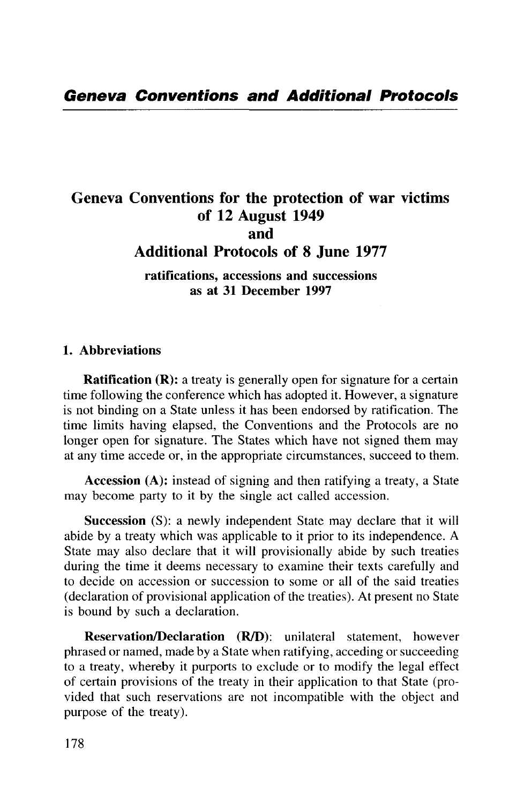# Geneva Conventions for the protection of war victims of 12 August 1949 and Additional Protocols of 8 June 1977

**ratifications, accessions and successions as at 31 December 1997**

#### **1. Abbreviations**

**Ratification (R):** a treaty is generally open for signature for a certain time following the conference which has adopted it. However, a signature is not binding on a State unless it has been endorsed by ratification. The time limits having elapsed, the Conventions and the Protocols are no longer open for signature. The States which have not signed them may at any time accede or, in the appropriate circumstances, succeed to them.

**Accession** (A): instead of signing and then ratifying a treaty, a State may become party to it by the single act called accession.

**Succession** (S): a newly independent State may declare that it will abide by a treaty which was applicable to it prior to its independence. A State may also declare that it will provisionally abide by such treaties during the time it deems necessary to examine their texts carefully and to decide on accession or succession to some or all of the said treaties (declaration of provisional application of the treaties). At present no State is bound by such a declaration.

**Reservation/Declaration (R/D):** unilateral statement, however phrased or named, made by a State when ratifying, acceding or succeeding to a treaty, whereby it purports to exclude or to modify the legal effect of certain provisions of the treaty in their application to that State (provided that such reservations are not incompatible with the object and purpose of the treaty).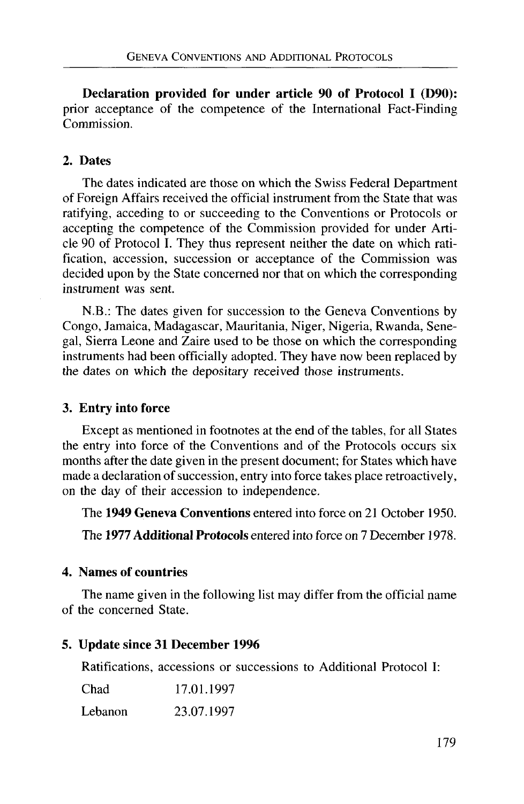**Declaration provided for under article 90 of Protocol I (D90):** prior acceptance of the competence of the International Fact-Finding Commission.

## 2. **Dates**

The dates indicated are those on which the Swiss Federal Department of Foreign Affairs received the official instrument from the State that was ratifying, acceding to or succeeding to the Conventions or Protocols or accepting the competence of the Commission provided for under Article 90 of Protocol I. They thus represent neither the date on which ratification, accession, succession or acceptance of the Commission was decided upon by the State concerned nor that on which the corresponding instrument was sent.

N.B.: The dates given for succession to the Geneva Conventions by Congo, Jamaica, Madagascar, Mauritania, Niger, Nigeria, Rwanda, Senegal, Sierra Leone and Zaire used to be those on which the corresponding instruments had been officially adopted. They have now been replaced by the dates on which the depositary received those instruments.

## **3. Entry into force**

Except as mentioned in footnotes at the end of the tables, for all States the entry into force of the Conventions and of the Protocols occurs six months after the date given in the present document; for States which have made a declaration of succession, entry into force takes place retroactively, on the day of their accession to independence.

The **1949 Geneva Conventions** entered into force on 21 October 1950.

The **1977 Additional Protocols** entered into force on 7 December 1978.

## **4. Names of countries**

The name given in the following list may differ from the official name of the concerned State.

## **5. Update since 31 December 1996**

Ratifications, accessions or successions to Additional Protocol I:

| Chad    | 17.01.1997 |
|---------|------------|
| Lebanon | 23.07.1997 |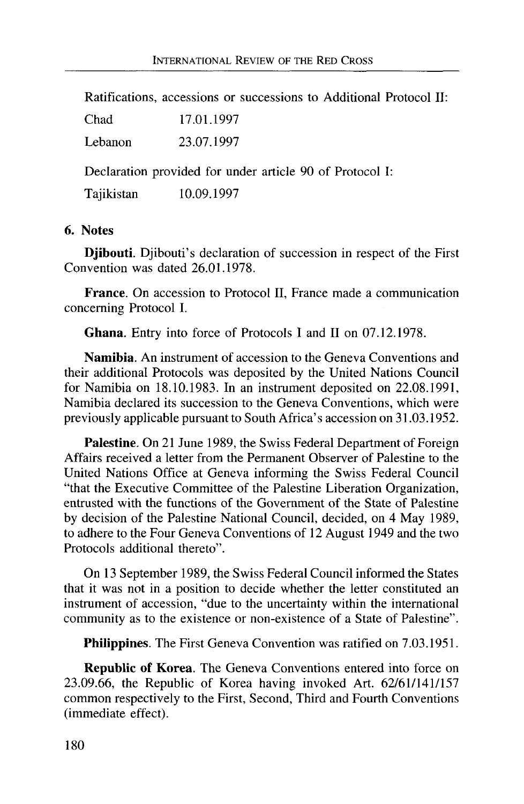Ratifications, accessions or successions to Additional Protocol II:

| Chad       | 17.01.1997                                               |
|------------|----------------------------------------------------------|
| Lebanon    | 23.07.1997                                               |
|            | Declaration provided for under article 90 of Protocol I: |
| Tajikistan | 10.09.1997                                               |

#### **6. Notes**

**Djibouti.** Djibouti's declaration of succession in respect of the First Convention was dated 26.01.1978.

**France.** On accession to Protocol II, France made a communication concerning Protocol I.

**Ghana.** Entry into force of Protocols I and II on 07.12.1978.

**Namibia.** An instrument of accession to the Geneva Conventions and their additional Protocols was deposited by the United Nations Council for Namibia on 18.10.1983. In an instrument deposited on 22.08.1991, Namibia declared its succession to the Geneva Conventions, which were previously applicable pursuant to South Africa's accession on 31.03.1952.

**Palestine.** On 21 June 1989, the Swiss Federal Department of Foreign Affairs received a letter from the Permanent Observer of Palestine to the United Nations Office at Geneva informing the Swiss Federal Council "that the Executive Committee of the Palestine Liberation Organization, entrusted with the functions of the Government of the State of Palestine by decision of the Palestine National Council, decided, on 4 May 1989, to adhere to the Four Geneva Conventions of 12 August 1949 and the two Protocols additional thereto".

On 13 September 1989, the Swiss Federal Council informed the States that it was not in a position to decide whether the letter constituted an instrument of accession, "due to the uncertainty within the international community as to the existence or non-existence of a State of Palestine".

**Philippines.** The First Geneva Convention was ratified on 7.03.1951.

**Republic of Korea.** The Geneva Conventions entered into force on 23.09.66, the Republic of Korea having invoked Art. 62/61/141/157 common respectively to the First, Second, Third and Fourth Conventions (immediate effect).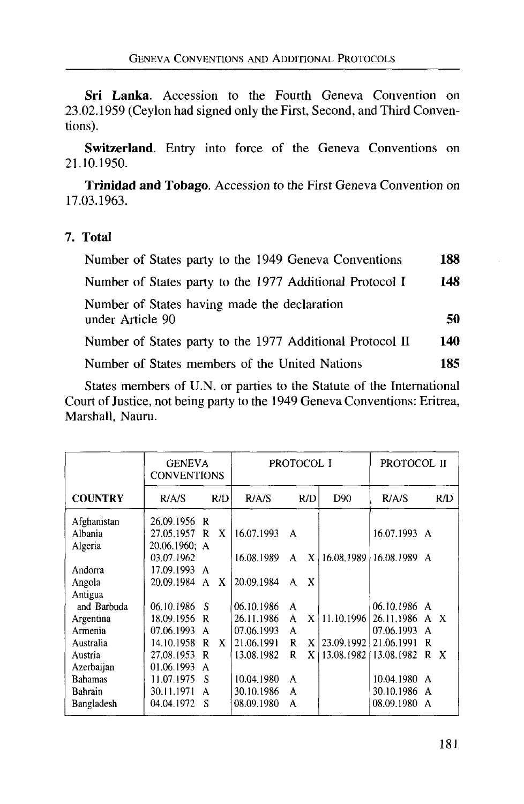**Sri Lanka.** Accession to the Fourth Geneva Convention on 23.02.1959 (Ceylon had signed only the First, Second, and Third Conventions).

Switzerland. Entry into force of the Geneva Conventions on 21.10.1950.

**Trinidad and Tobago.** Accession to the First Geneva Convention on 17.03.1963.

#### **7. Total**

| Number of States party to the 1949 Geneva Conventions            | 188  |
|------------------------------------------------------------------|------|
| Number of States party to the 1977 Additional Protocol I         | 148  |
| Number of States having made the declaration<br>under Article 90 | 50   |
| Number of States party to the 1977 Additional Protocol II        | 140  |
| Number of States members of the United Nations                   | 185. |
|                                                                  |      |

States members of U.N. or parties to the Statute of the International Court of Justice, not being party to the 1949 Geneva Conventions: Eritrea, Marshall, Nauru.

|                                                                                                          | <b>GENEVA</b><br><b>CONVENTIONS</b>                                                                                                  |                                                         |                                                                                  | PROTOCOL I                                       | PROTOCOL II                |                                                                                     |                            |
|----------------------------------------------------------------------------------------------------------|--------------------------------------------------------------------------------------------------------------------------------------|---------------------------------------------------------|----------------------------------------------------------------------------------|--------------------------------------------------|----------------------------|-------------------------------------------------------------------------------------|----------------------------|
| <b>COUNTRY</b>                                                                                           | R/AS                                                                                                                                 | R/D                                                     | R/AS                                                                             | R/D                                              | D <sub>90</sub>            | R/AS                                                                                | R/D                        |
| Afghanistan<br>Albania<br>Algeria<br>Andorra<br>Angola<br>Antigua<br>and Barbuda<br>Argentina<br>Armenia | 26.09.1956 R<br>27.05.1957<br>20.06.1960: A<br>03.07.1962<br>17.09.1993<br>A<br>20.09.1984<br>06.10.1986<br>18.09.1956<br>07.06.1993 | X<br>R<br>X<br>$\mathsf{A}$<br>- S<br>R<br>$\mathsf{A}$ | 16.07.1993<br>16.08.1989<br>20.09.1984<br>06.10.1986<br>26.11.1986<br>07.06.1993 | A<br>X<br>A<br>X<br>A<br>A<br>X<br>A<br>A        | 11.10.1996                 | 16.07.1993 A<br>16.08.1989 16.08.1989 A<br>06.10.1986 A<br>26.11.1986<br>07.06.1993 | A X<br>$\mathbf{A}$        |
| Australia<br>Austria<br>Azerbaijan<br><b>Bahamas</b><br>Bahrain<br>Bangladesh                            | 14.10.1958<br>27.08.1953<br>01.06.1993<br>11.07.1975<br>30.11.1971<br>04.04.1972                                                     | R<br>X<br>R<br>A<br>S<br>A<br>S                         | 21.06.1991<br>13.08.1982<br>10.04.1980<br>30.10.1986<br>08.09.1980               | $\mathbb{R}$<br>$\mathbf{X}$<br>R<br>A<br>A<br>A | X 23.09.1992<br>13.08.1982 | 21.06.1991<br>13.08.1982<br>10.04.1980<br>30.10.1986<br>08.09.1980                  | R<br>R<br>X<br>A<br>A<br>A |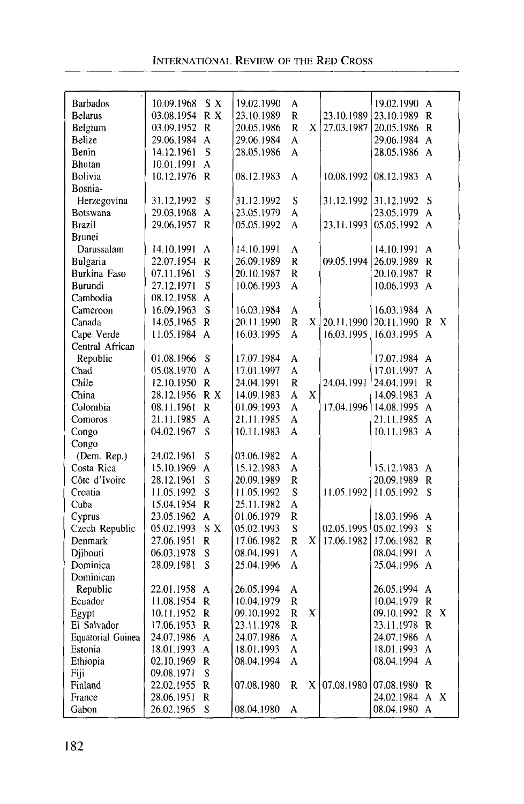| <b>Barbados</b>          | 10.09.1968 | S X                     | 19.02.1990 | A |   |            | 19.02.1990 | $\mathbf{A}$            |                           |
|--------------------------|------------|-------------------------|------------|---|---|------------|------------|-------------------------|---------------------------|
| <b>Belarus</b>           | 03.08.1954 | R X                     | 23.10.1989 | R |   | 23.10.1989 | 23.10.1989 | R                       |                           |
| Belgium                  | 03.09.1952 | R                       | 20.05.1986 | R | X | 27.03.1987 | 20.05.1986 | $\mathbf R$             |                           |
| Belize                   | 29.06.1984 | A                       | 29.06.1984 | A |   |            | 29.06.1984 | A                       |                           |
| Benin                    | 14.12.1961 | S                       | 28.05.1986 | A |   |            | 28.05.1986 | $\mathbf{A}$            |                           |
| <b>Bhutan</b>            | 10.01.1991 | A                       |            |   |   |            |            |                         |                           |
| Bolivia                  | 10.12.1976 | R                       | 08.12.1983 | A |   | 10.08.1992 | 08.12.1983 | $\mathbf{A}$            |                           |
| Bosnia-                  |            |                         |            |   |   |            |            |                         |                           |
| Herzegovina              | 31.12.1992 | S                       | 31.12.1992 | S |   | 31.12.1992 | 31.12.1992 | S                       |                           |
| Botswana                 | 29.03.1968 | A                       | 23.05.1979 | A |   |            | 23.05.1979 | $\mathbf{A}$            |                           |
| Brazil                   | 29.06.1957 | R                       | 05.05.1992 | A |   | 23.11.1993 | 05.05.1992 | A                       |                           |
| <b>Brunei</b>            |            |                         |            |   |   |            |            |                         |                           |
| Darussalam               | 14.10.1991 | A                       | 14.10.1991 | A |   |            | 14.10.1991 | A                       |                           |
| Bulgaria                 | 22.07.1954 | R                       | 26.09.1989 | R |   | 09.05.1994 | 26.09.1989 | $\mathbf R$             |                           |
| Burkina Faso             | 07.11.1961 | $\overline{\mathbf{S}}$ | 20.10.1987 | R |   |            | 20.10.1987 | R                       |                           |
| Burundi                  | 27.12.1971 | S                       | 10.06.1993 | A |   |            | 10.06.1993 | A                       |                           |
| Cambodia                 | 08.12.1958 | A                       |            |   |   |            |            |                         |                           |
| Cameroon                 | 16.09.1963 | S                       | 16.03.1984 | A |   |            | 16.03.1984 | A                       |                           |
| Canada                   | 14.05.1965 | R                       | 20.11.1990 | R | X | 20.11.1990 | 20.11.1990 | R                       | X                         |
| Cape Verde               | 11.05.1984 | A                       | 16.03.1995 | A |   | 16.03.1995 | 16.03.1995 | A                       |                           |
| Central African          |            |                         |            |   |   |            |            |                         |                           |
| Republic                 | 01.08.1966 | S                       | 17.07.1984 | A |   |            | 17.07.1984 | $\mathsf{A}$            |                           |
| Chad                     | 05.08.1970 | A                       | 17.01.1997 | A |   |            | 17.01.1997 | A                       |                           |
| Chile                    | 12.10.1950 | $\mathbb{R}$            | 24.04.1991 | R |   | 24.04.1991 | 24.04.1991 | R                       |                           |
| China                    | 28.12.1956 | R X                     | 14.09.1983 | A | X |            | 14.09.1983 | A                       |                           |
| Colombia                 | 08.11.1961 | R                       | 01.09.1993 | A |   | 17.04.1996 | 14.08.1995 | $\mathbf{A}$            |                           |
| Comoros                  | 21.11.1985 | A                       | 21.11.1985 | A |   |            | 21.11.1985 | A                       |                           |
| Congo                    | 04.02.1967 | S                       | 10.11.1983 | A |   |            | 10.11.1983 | $\mathbf{A}$            |                           |
| Congo                    |            |                         |            |   |   |            |            |                         |                           |
| (Dem. Rep.)              | 24.02.1961 | S                       | 03.06.1982 | A |   |            |            |                         |                           |
| Costa Rica               | 15.10.1969 | A                       | 15.12.1983 | A |   |            | 15.12.1983 | A                       |                           |
| Côte d'Ivoire            | 28.12.1961 | S                       | 20.09.1989 | R |   |            | 20.09.1989 | R                       |                           |
| Croatia                  | 11.05.1992 | S                       | 11.05.1992 | S |   | 11.05.1992 | 11.05.1992 | S                       |                           |
| Cuba                     | 15.04.1954 | $\mathbf R$             | 25.11.1982 | A |   |            |            |                         |                           |
| Cyprus                   | 23.05.1962 | A                       | 01.06.1979 | R |   |            | 18.03.1996 | A                       |                           |
| Czech Republic           | 05.02.1993 | S X                     | 05.02.1993 | S |   | 02.05.1995 | 05.02.1993 | S                       |                           |
| Denmark                  | 27.06.1951 | R                       | 17.06.1982 | R | X | 17.06.1982 | 17.06.1982 | R                       |                           |
| Djibouti                 | 06.03.1978 | S                       | 08.04.1991 | A |   |            | 08.04.1991 | A                       |                           |
| Dominica                 | 28.09.1981 | S                       | 25.04.1996 | A |   |            | 25.04.1996 | A                       |                           |
| Dominican                |            |                         |            |   |   |            |            |                         |                           |
| Republic                 | 22.01.1958 | A                       | 26.05.1994 | A |   |            | 26.05.1994 | A                       |                           |
| Ecuador                  | 11.08.1954 | R                       | 10.04.1979 | R |   |            | 10.04.1979 | $\mathsf{R}$            |                           |
| Egypt                    | 10.11.1952 | R                       | 09.10.1992 | R | X |            | 09 10 1992 | $\overline{\mathsf{R}}$ | X                         |
| El Salvador              | 17.06.1953 | R                       | 23.11.1978 | R |   |            | 23.11.1978 | R                       |                           |
| <b>Equatorial Guinea</b> | 24.07.1986 | A                       | 24.07.1986 | A |   |            | 24.07.1986 | A                       |                           |
| Estonia                  | 18.01.1993 | A                       | 18.01.1993 | A |   |            | 18.01.1993 | A                       |                           |
| Ethiopia                 | 02.10.1969 | R                       | 08.04.1994 | A |   |            | 08.04.1994 | A                       |                           |
| Fiji                     | 09.08.1971 | S                       |            |   |   |            |            |                         |                           |
| Finland                  | 22.02.1955 | R                       | 07.08.1980 | R | X | 07.08.1980 | 07.08.1980 | R                       |                           |
| France                   | 28.06.1951 | $\mathbb{R}$            |            |   |   |            | 24.02.1984 | A                       | $\boldsymbol{\mathrm{X}}$ |
| Gabon                    | 26.02.1965 | S                       | 08.04.1980 | A |   |            | 08.04.1980 | $\overline{A}$          |                           |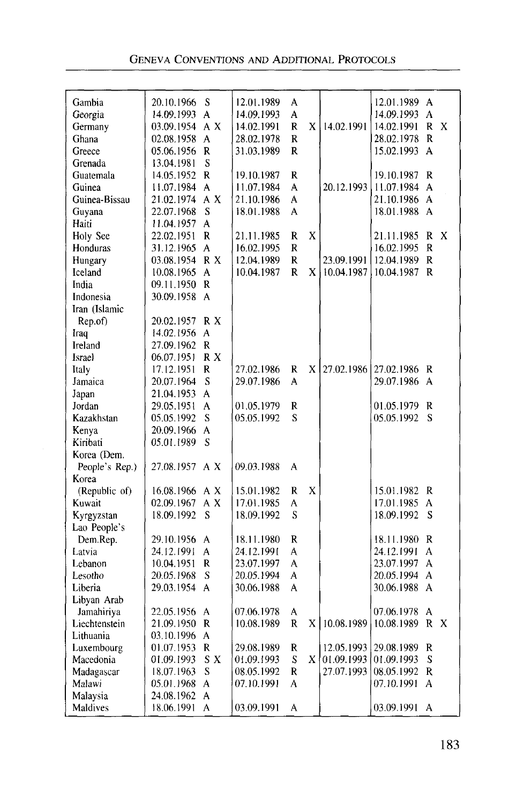| Gambia         | 20.10.1966     | S            | 12.01.1989 | A            |              |            | 12.01.1989   | A            |   |
|----------------|----------------|--------------|------------|--------------|--------------|------------|--------------|--------------|---|
| Georgia        | 14.09.1993     | A            | 14.09.1993 | A            |              |            | 14.09.1993   | A            |   |
| Germany        | 03.09.1954     | A X          | 14.02.1991 | R            | X            | 14.02.1991 | 14.02.1991   | R            | X |
| Ghana          | 02.08.1958     | A            | 28.02.1978 | R            |              |            | 28.02.1978   | R            |   |
| Greece         | 05.06.1956     | $\mathbf R$  | 31.03.1989 | R            |              |            | 15.02.1993   | A            |   |
| Grenada        | 13.04.1981     | S            |            |              |              |            |              |              |   |
| Guatemala      | 14.05.1952     | R            | 19,10.1987 | R            |              |            | 19,10,1987   | R            |   |
| Guinea         | 11.07.1984     | A            | 11.07.1984 | A            |              | 20.12.1993 | 11.07.1984   | A            |   |
| Guinea-Bissau  | 21.02.1974     | A X          | 21.10.1986 | А            |              |            | 21.10.1986   | A            |   |
| Guyana         | 22.07.1968     | S            | 18.01.1988 | A            |              |            | 18.01.1988 A |              |   |
| Haiti          | 11.04.1957     | A            |            |              |              |            |              |              |   |
| Holy See       | 22.02.1951     | R            | 21.11.1985 | R            | X            |            | 21.11.1985   | R            | X |
| Honduras       | 31.12.1965     | A            | 16.02.1995 | R            |              |            | 16.02.1995   | R            |   |
| Hungary        | 03.08.1954 R X |              | 12.04.1989 | R            |              | 23.09.1991 | 12.04.1989   | R            |   |
| Iceland        | 10.08.1965     | A            | 10.04.1987 | R            | X            | 10.04.1987 | 10.04.1987   | $\mathbb{R}$ |   |
| India          | 09.11.1950 R   |              |            |              |              |            |              |              |   |
| Indonesia      | 30.09.1958     | $\mathsf{A}$ |            |              |              |            |              |              |   |
| Iran (Islamic  |                |              |            |              |              |            |              |              |   |
| Rep.of)        | 20.02.1957     | R X          |            |              |              |            |              |              |   |
| Iraq           | 14.02.1956     | A            |            |              |              |            |              |              |   |
| Ireland        | 27.09.1962     | R            |            |              |              |            |              |              |   |
| <b>Israel</b>  | 06.07.1951     | R X          |            |              |              |            |              |              |   |
| Italy          | 17.12.1951     | R            | 27.02.1986 | R            | X            | 27.02.1986 | 27.02.1986   | R            |   |
| Jamaica        | 20.07.1964     | S            | 29.07.1986 | А            |              |            | 29.07.1986   | A            |   |
| Japan          | 21.04.1953     | A            |            |              |              |            |              |              |   |
| Jordan         | 29.05.1951     | A            | 01.05.1979 | R            |              |            | 01.05.1979   | R            |   |
| Kazakhstan     | 05.05.1992     | S            | 05.05.1992 | S            |              |            | 05.05.1992   | S            |   |
| Kenya          | 20.09.1966     | A            |            |              |              |            |              |              |   |
| Kiribati       | 05.01.1989     | S            |            |              |              |            |              |              |   |
| Korea (Dem.    |                |              |            |              |              |            |              |              |   |
| People's Rep.) | 27.08.1957 A X |              | 09.03.1988 | A            |              |            |              |              |   |
| Korea          |                |              |            |              |              |            |              |              |   |
| (Republic of)  | 16.08.1966     | A X          | 15.01.1982 | R            | X            |            | 15.01.1982   | R            |   |
| Kuwait         | 02.09.1967     | A X          | 17.01.1985 | A            |              |            | 17.01.1985   | A            |   |
| Kyrgyzstan     | 18.09.1992     | S            | 18.09.1992 | S            |              |            | 18.09.1992   | S            |   |
| Lao People's   |                |              |            |              |              |            |              |              |   |
| Dem.Rep.       | 29.10.1956     | A            | 18.11.1980 | R            |              |            | 18.11.1980   | R            |   |
| Latvia         | 24.12.1991     | A            | 24.12.1991 | A            |              |            | 24.12.1991   | A            |   |
| Lebanon        | 10.04.1951     | R            | 23.07.1997 | A            |              |            | 23.07.1997   | A            |   |
| Lesotho        | 20.05.1968     | S            | 20.05.1994 | А            |              |            | 20.05.1994   | A            |   |
| Liberia        | 29.03.1954     | $\mathsf{A}$ | 30.06.1988 | A            |              |            | 30.06.1988   | A            |   |
| Libyan Arab    |                |              |            |              |              |            |              |              |   |
| Jamahiriya     | 22.05.1956     | A            | 07.06.1978 | A            |              |            | 07.06.1978   | A            |   |
| Liechtenstein  | 21.09.1950     | $\mathbf R$  | 10.08.1989 | $\mathbb{R}$ | X            | 10.08.1989 | 10.08.1989   | R            | X |
| Lithuania      | 03.10.1996     | A            |            |              |              |            |              |              |   |
| Luxembourg     | 01.07.1953     | R            | 29.08.1989 | R            |              | 12.05.1993 | 29.08.1989   | R            |   |
| Macedonia      | 01.09.1993     | S X          | 01.09.1993 | S            | $\mathbf{x}$ | 01.09.1993 | 01.09.1993   | S            |   |
| Madagascar     | 18.07.1963     | S            | 08.05.1992 | R            |              | 27.07.1993 | 08.05.1992   | R            |   |
| Malawi         | 05.01.1968     | A            | 07.10.1991 | A            |              |            | 07.10.1991   | A            |   |
| Malaysia       | 24.08.1962     | A            |            |              |              |            |              |              |   |
| Maldives       | 18.06.1991     | A            | 03.09.1991 | A            |              |            | 03.09.1991   | A            |   |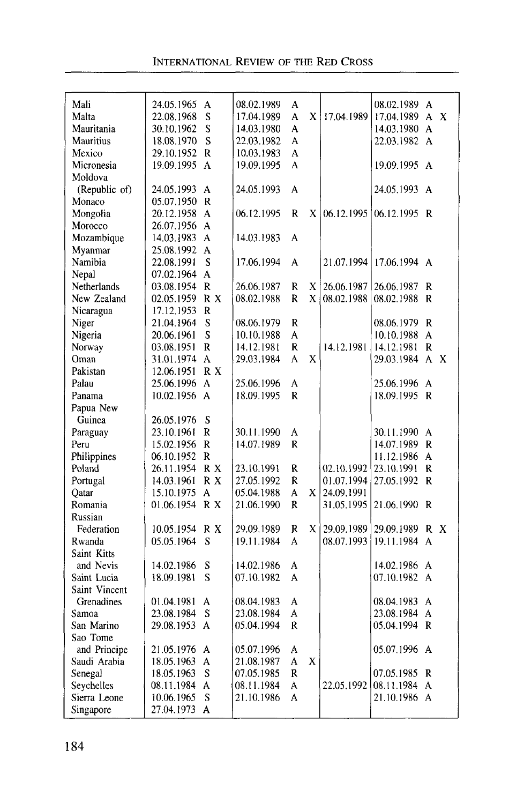| Mali             | 24.05.1965 A   |                | 08.02.1989 | Α |   |            | 08.02.1989 A   |              |              |
|------------------|----------------|----------------|------------|---|---|------------|----------------|--------------|--------------|
| Malta            | 22.08.1968     | S              | 17.04.1989 | A | X | 17.04.1989 | 17.04.1989 A   |              | X            |
| Mauritania       | 30.10.1962     | S              | 14.03.1980 | A |   |            | 14.03.1980     | $\mathbf{A}$ |              |
| <b>Mauritius</b> | 18.08.1970     | S              | 22.03.1982 | A |   |            | 22.03.1982     | $\mathbf{A}$ |              |
| Mexico           | 29.10.1952     | R              | 10.03.1983 | A |   |            |                |              |              |
| Micronesia       | 19.09.1995     | A              | 19.09.1995 | A |   |            | 19.09.1995     | $\mathbf{A}$ |              |
| Moldova          |                |                |            |   |   |            |                |              |              |
| (Republic of)    | 24.05.1993     | A              | 24.05.1993 | A |   |            | 24.05.1993     | $\mathbf{A}$ |              |
| Monaco           | 05.07.1950     | $\mathbf R$    |            |   |   |            |                |              |              |
| Mongolia         | 20.12.1958     | $\mathbf{A}$   | 06.12.1995 | R | X | 06.12.1995 | 06.12.1995     | R            |              |
| Morocco          | 26.07.1956     | A              |            |   |   |            |                |              |              |
| Mozambique       | 14.03.1983 A   |                | 14.03.1983 | A |   |            |                |              |              |
| Myanmar          | 25.08.1992     | $\mathbf{A}$   |            |   |   |            |                |              |              |
| Namibia          | 22.08.1991     | S              | 17.06.1994 | A |   | 21.07.1994 | 17.06.1994     | $\mathsf{A}$ |              |
| Nepal            | 07.02.1964     | A              |            |   |   |            |                |              |              |
| Netherlands      | 03.08.1954 R   |                | 26.06.1987 | R | X | 26.06.1987 | 26.06.1987     | R            |              |
| New Zealand      | 02.05.1959     | R X            | 08.02.1988 | R | X | 08.02.1988 | 08.02.1988     | R            |              |
| Nicaragua        | 17.12.1953     | R              |            |   |   |            |                |              |              |
| Niger            | 21.04.1964     | S              | 08.06.1979 | R |   |            | 08.06.1979     | $\mathbb{R}$ |              |
| Nigeria          | 20.06.1961     | S              | 10.10.1988 | A |   |            | 10.10.1988     | A            |              |
| Norway           | 03.08.1951     | R              | 14.12.1981 | R |   | 14.12.1981 | 14.12.1981     | R            |              |
| Oman             | 31.01.1974     | $\mathbf{A}$   | 29.03.1984 | A | X |            | 29.03.1984     | $\mathsf{A}$ | $\mathbf{x}$ |
| Pakistan         | 12.06.1951     | R X            |            |   |   |            |                |              |              |
| Palau            | 25.06.1996     | $\overline{A}$ | 25.06.1996 | A |   |            | 25.06.1996     | A            |              |
| Panama           | 10.02.1956 A   |                | 18.09.1995 | R |   |            | 18.09.1995     | R            |              |
| Papua New        |                |                |            |   |   |            |                |              |              |
| Guinea           | 26.05.1976     | S              |            |   |   |            |                |              |              |
| Paraguay         | 23.10.1961     | R              | 30.11.1990 | A |   |            | 30.11.1990     | A            |              |
| Peru             | 15.02.1956 R   |                | 14.07.1989 | R |   |            | 14.07.1989 R   |              |              |
| Philippines      | 06.10.1952     | R              |            |   |   |            | 11.12.1986     | A            |              |
| Poland           | 26.11.1954     | R X            | 23.10.1991 | R |   | 02.10.1992 | 23.10.1991     | $\mathbf R$  |              |
| Portugal         | 14.03.1961     | R X            | 27.05.1992 | R |   | 01.07.1994 | 27.05.1992     | $\mathbf R$  |              |
| Qatar            | 15.10.1975     | A              | 05.04.1988 | A | X | 24.09.1991 |                |              |              |
| Romania          | 01.06.1954 R X |                | 21.06.1990 | R |   | 31.05.1995 | 21.06.1990     | -R           |              |
| Russian          |                |                |            |   |   |            |                |              |              |
| Federation       | 10.05.1954     | R X            | 29.09.1989 | R | X | 29.09.1989 | 29.09.1989 R X |              |              |
| Rwanda           | 05.05.1964     | S              | 19.11.1984 | A |   | 08.07.1993 | 19.11.1984     | $\mathbf{A}$ |              |
| Saint Kitts      |                |                |            |   |   |            |                |              |              |
| and Nevis        | 14.02.1986     | S              | 14.02.1986 | A |   |            | 14.02.1986     | $\mathbf{A}$ |              |
| Saint Lucia      | 18.09.1981     | S              | 07.10.1982 | A |   |            | 07.10.1982     | $\mathsf{A}$ |              |
| Saint Vincent    |                |                |            |   |   |            |                |              |              |
| Grenadines       | 01.04.1981     | A              | 08.04.1983 | A |   |            | 08.04.1983     | A            |              |
| Samoa            | 23.08.1984     | S              | 23.08.1984 | A |   |            | 23.08.1984     | A            |              |
| San Marino       | 29.08.1953     | A              | 05.04.1994 | R |   |            | 05.04.1994     | R            |              |
| Sao Tome         |                |                |            |   |   |            |                |              |              |
| and Principe     | 21.05.1976 A   |                | 05.07.1996 | A |   |            | 05.07.1996 A   |              |              |
| Saudi Arabia     | 18.05.1963     | $\mathbf{A}$   | 21.08.1987 | A | X |            |                |              |              |
| Senegal          | 18.05.1963     | S              | 07.05.1985 | R |   |            | 07.05.1985     | R            |              |
| Seychelles       | 08.11.1984     | A              | 08.11.1984 | A |   | 22.05.1992 | 08.11.1984     | A            |              |
| Sierra Leone     | 10.06.1965     | S              | 21.10.1986 | A |   |            | 21.10.1986 A   |              |              |
|                  |                |                |            |   |   |            |                |              |              |
| Singapore        | 27.04.1973     | $\mathbf{A}$   |            |   |   |            |                |              |              |